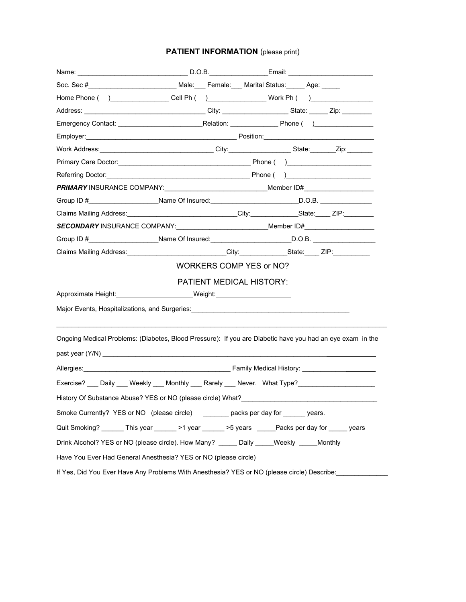# **PATIENT INFORMATION** (please print)

|                                                                                                       | Home Phone () ________________Cell Ph () _________________Work Ph () ____________                                                                                                                                              |  |  |  |
|-------------------------------------------------------------------------------------------------------|--------------------------------------------------------------------------------------------------------------------------------------------------------------------------------------------------------------------------------|--|--|--|
|                                                                                                       |                                                                                                                                                                                                                                |  |  |  |
|                                                                                                       |                                                                                                                                                                                                                                |  |  |  |
|                                                                                                       | Employer: 2008. [2016] Position: 2008. [2016] Position: 2016. [2016] Position: 2016. [2016] Position: 2016. [2016] Position: 2016. [2016] Position: 2016. [2016] Position: 2016. [2016] Position: 2016. [2016] Position: 2016. |  |  |  |
|                                                                                                       | Work Address: _________________________________City:_________________State: _______Zip:________                                                                                                                                |  |  |  |
|                                                                                                       |                                                                                                                                                                                                                                |  |  |  |
|                                                                                                       |                                                                                                                                                                                                                                |  |  |  |
|                                                                                                       | PRIMARY INSURANCE COMPANY: Manual Company Member ID#                                                                                                                                                                           |  |  |  |
|                                                                                                       | Group ID #_____________________Name Of Insured:____________________________D.O.B. _________________                                                                                                                            |  |  |  |
|                                                                                                       | Claims Mailing Address: ____________________________City:_______________State:_____ ZIP:___________                                                                                                                            |  |  |  |
|                                                                                                       | SECONDARY INSURANCE COMPANY:______________________________Member ID#_____________                                                                                                                                              |  |  |  |
|                                                                                                       | Group ID #______________________Name Of Insured:__________________________D.O.B. __________________                                                                                                                            |  |  |  |
|                                                                                                       | Claims Mailing Address: Camera City: City: Claims Mailing Address: City: Claims Mailing Address:                                                                                                                               |  |  |  |
|                                                                                                       | WORKERS COMP YES or NO?                                                                                                                                                                                                        |  |  |  |
|                                                                                                       | <b>PATIENT MEDICAL HISTORY:</b>                                                                                                                                                                                                |  |  |  |
|                                                                                                       | Approximate Height: National Metal Merchanter Control Merchanter Control Merchanter Control Merchanter Control M                                                                                                               |  |  |  |
|                                                                                                       | Major Events, Hospitalizations, and Surgeries: <b>Major Community Community Community</b> Community Community Community                                                                                                        |  |  |  |
|                                                                                                       |                                                                                                                                                                                                                                |  |  |  |
|                                                                                                       |                                                                                                                                                                                                                                |  |  |  |
|                                                                                                       | Ongoing Medical Problems: (Diabetes, Blood Pressure): If you are Diabetic have you had an eye exam in the                                                                                                                      |  |  |  |
|                                                                                                       |                                                                                                                                                                                                                                |  |  |  |
|                                                                                                       |                                                                                                                                                                                                                                |  |  |  |
|                                                                                                       | Exercise? ___ Daily ___ Weekly ___ Monthly ___ Rarely ___ Never. What Type?___________________                                                                                                                                 |  |  |  |
|                                                                                                       | History Of Substance Abuse? YES or NO (please circle) What?                                                                                                                                                                    |  |  |  |
| Smoke Currently? YES or NO (please circle) ________ packs per day for ______ years.                   |                                                                                                                                                                                                                                |  |  |  |
| Quit Smoking? _______ This year _______ >1 year _______ >5 years ______Packs per day for ______ years |                                                                                                                                                                                                                                |  |  |  |
| Drink Alcohol? YES or NO (please circle). How Many? _____ Daily ____Weekly ____Monthly                |                                                                                                                                                                                                                                |  |  |  |
|                                                                                                       | Have You Ever Had General Anesthesia? YES or NO (please circle)                                                                                                                                                                |  |  |  |
|                                                                                                       | If Yes, Did You Ever Have Any Problems With Anesthesia? YES or NO (please circle) Describe:                                                                                                                                    |  |  |  |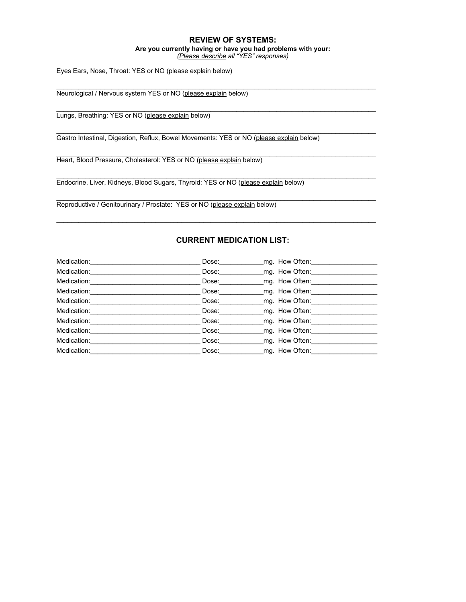## **REVIEW OF SYSTEMS:**

## **Are you currently having or have you had problems with your:**

*(Please describe all "YES" responses)*

\_\_\_\_\_\_\_\_\_\_\_\_\_\_\_\_\_\_\_\_\_\_\_\_\_\_\_\_\_\_\_\_\_\_\_\_\_\_\_\_\_\_\_\_\_\_\_\_\_\_\_\_\_\_\_\_\_\_\_\_\_\_\_\_\_\_\_\_\_\_\_\_\_\_\_\_\_\_\_\_\_\_\_\_\_\_\_

\_\_\_\_\_\_\_\_\_\_\_\_\_\_\_\_\_\_\_\_\_\_\_\_\_\_\_\_\_\_\_\_\_\_\_\_\_\_\_\_\_\_\_\_\_\_\_\_\_\_\_\_\_\_\_\_\_\_\_\_\_\_\_\_\_\_\_\_\_\_\_\_\_\_\_\_\_\_\_\_\_\_\_\_\_\_\_

 $\mathcal{L}_\mathcal{L} = \mathcal{L}_\mathcal{L} = \mathcal{L}_\mathcal{L} = \mathcal{L}_\mathcal{L} = \mathcal{L}_\mathcal{L} = \mathcal{L}_\mathcal{L} = \mathcal{L}_\mathcal{L} = \mathcal{L}_\mathcal{L} = \mathcal{L}_\mathcal{L} = \mathcal{L}_\mathcal{L} = \mathcal{L}_\mathcal{L} = \mathcal{L}_\mathcal{L} = \mathcal{L}_\mathcal{L} = \mathcal{L}_\mathcal{L} = \mathcal{L}_\mathcal{L} = \mathcal{L}_\mathcal{L} = \mathcal{L}_\mathcal{L}$ 

\_\_\_\_\_\_\_\_\_\_\_\_\_\_\_\_\_\_\_\_\_\_\_\_\_\_\_\_\_\_\_\_\_\_\_\_\_\_\_\_\_\_\_\_\_\_\_\_\_\_\_\_\_\_\_\_\_\_\_\_\_\_\_\_\_\_\_\_\_\_\_\_\_\_\_\_\_\_\_\_\_\_\_\_\_\_\_

\_\_\_\_\_\_\_\_\_\_\_\_\_\_\_\_\_\_\_\_\_\_\_\_\_\_\_\_\_\_\_\_\_\_\_\_\_\_\_\_\_\_\_\_\_\_\_\_\_\_\_\_\_\_\_\_\_\_\_\_\_\_\_\_\_\_\_\_\_\_\_\_\_\_\_\_\_\_\_\_\_\_\_\_\_\_\_

\_\_\_\_\_\_\_\_\_\_\_\_\_\_\_\_\_\_\_\_\_\_\_\_\_\_\_\_\_\_\_\_\_\_\_\_\_\_\_\_\_\_\_\_\_\_\_\_\_\_\_\_\_\_\_\_\_\_\_\_\_\_\_\_\_\_\_\_\_\_\_\_\_\_\_\_\_\_\_\_\_\_\_\_\_\_\_

\_\_\_\_\_\_\_\_\_\_\_\_\_\_\_\_\_\_\_\_\_\_\_\_\_\_\_\_\_\_\_\_\_\_\_\_\_\_\_\_\_\_\_\_\_\_\_\_\_\_\_\_\_\_\_\_\_\_\_\_\_\_\_\_\_\_\_\_\_\_\_\_\_\_\_\_\_\_\_\_\_\_\_\_\_\_\_

Eyes Ears, Nose, Throat: YES or NO (please explain below)

Neurological / Nervous system YES or NO (please explain below)

Lungs, Breathing: YES or NO (please explain below)

Gastro Intestinal, Digestion, Reflux, Bowel Movements: YES or NO (please explain below)

Heart, Blood Pressure, Cholesterol: YES or NO (please explain below)

Endocrine, Liver, Kidneys, Blood Sugars, Thyroid: YES or NO (please explain below)

Reproductive / Genitourinary / Prostate: YES or NO (please explain below)

## **CURRENT MEDICATION LIST:**

| Dose: | mg. How Often: |
|-------|----------------|
| Dose: | mg. How Often: |
| Dose: | mg. How Often: |
| Dose: | mg. How Often: |
| Dose: | mg. How Often: |
| Dose: | mg. How Often: |
| Dose: | mg. How Often: |
| Dose: | mg. How Often: |
| Dose: | mg. How Often: |
| Dose: | mg. How Often: |
|       |                |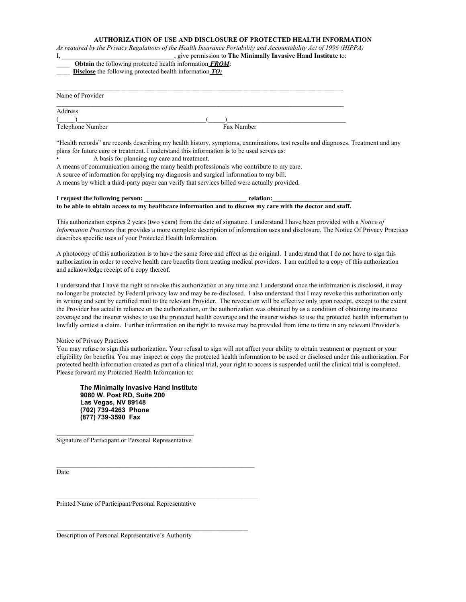#### **AUTHORIZATION OF USE AND DISCLOSURE OF PROTECTED HEALTH INFORMATION**

As required by the Privacy Regulations of the Health Insurance Portability and Accountability Act of 1996 (HIPPA) I, \_\_\_\_\_\_\_\_\_\_\_\_\_\_\_\_\_\_\_\_\_\_\_\_\_\_\_\_\_\_\_\_\_\_, give permission to **The Minimally Invasive Hand Institute** to:

\_\_\_\_ **Obtain** the following protected health information *FROM*:

\_\_\_\_ **Disclose** the following protected health information *TO:*

| Name of Provider |            |  |
|------------------|------------|--|
| Address          |            |  |
|                  |            |  |
| Telephone Number | Fax Number |  |

"Health records" are records describing my health history, symptoms, examinations, test results and diagnoses. Treatment and any plans for future care or treatment. I understand this information is to be used serves as:

• A basis for planning my care and treatment.

A means of communication among the many health professionals who contribute to my care.

A source of information for applying my diagnosis and surgical information to my bill. A means by which a third-party payer can verify that services billed were actually provided.

#### **I request the following person: \_\_\_\_\_\_\_\_\_\_\_\_\_\_\_\_\_\_\_\_\_\_\_\_\_\_\_\_\_\_\_ relation:\_\_\_\_\_\_\_\_\_\_\_\_\_\_\_\_\_\_\_\_\_\_\_\_** to be able to obtain access to my healthcare information and to discuss my care with the doctor and staff.

This authorization expires 2 years (two years) from the date of signature. I understand I have been provided with a *Notice of Information Practices* that provides a more complete description of information uses and disclosure. The Notice Of Privacy Practices describes specific uses of your Protected Health Information.

A photocopy of this authorization is to have the same force and effect as the original. I understand that I do not have to sign this authorization in order to receive health care benefits from treating medical providers. I am entitled to a copy of this authorization and acknowledge receipt of a copy thereof.

I understand that I have the right to revoke this authorization at any time and I understand once the information is disclosed, it may no longer be protected by Federal privacy law and may be re-disclosed. I also understand that I may revoke this authorization only in writing and sent by certified mail to the relevant Provider. The revocation will be effective only upon receipt, except to the extent the Provider has acted in reliance on the authorization, or the authorization was obtained by as a condition of obtaining insurance coverage and the insurer wishes to use the protected health coverage and the insurer wishes to use the protected health information to lawfully contest a claim. Further information on the right to revoke may be provided from time to time in any relevant Provider's

#### Notice of Privacy Practices

You may refuse to sign this authorization. Your refusal to sign will not affect your ability to obtain treatment or payment or your eligibility for benefits. You may inspect or copy the protected health information to be used or disclosed under this authorization. For protected health information created as part of a clinical trial, your right to access is suspended until the clinical trial is completed. Please forward my Protected Health Information to:

**The Minimally Invasive Hand Institute 9080 W. Post RD, Suite 200 Las Vegas, NV 89148 (702) 739-4263 Phone (877) 739-3590 Fax**

Signature of Participant or Personal Representative

Date

Printed Name of Participant/Personal Representative

 $\mathcal{L}_\text{max} = \mathcal{L}_\text{max} = \mathcal{L}_\text{max} = \mathcal{L}_\text{max} = \mathcal{L}_\text{max} = \mathcal{L}_\text{max} = \mathcal{L}_\text{max} = \mathcal{L}_\text{max} = \mathcal{L}_\text{max} = \mathcal{L}_\text{max} = \mathcal{L}_\text{max} = \mathcal{L}_\text{max} = \mathcal{L}_\text{max} = \mathcal{L}_\text{max} = \mathcal{L}_\text{max} = \mathcal{L}_\text{max} = \mathcal{L}_\text{max} = \mathcal{L}_\text{max} = \mathcal{$ 

Description of Personal Representative's Authority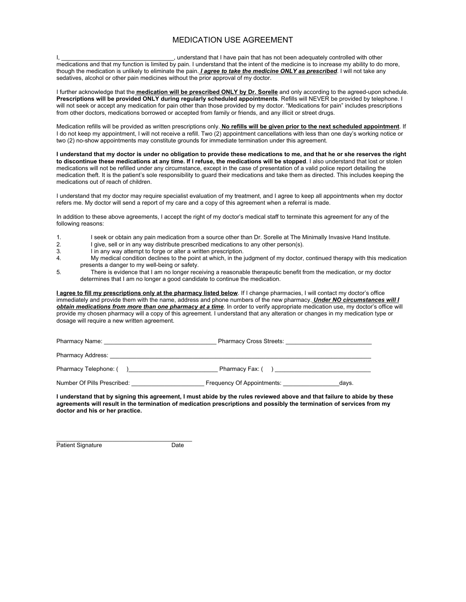## MEDICATION USE AGREEMENT

I, \_\_\_\_\_\_\_\_\_\_\_\_\_\_\_\_\_\_\_\_\_\_\_\_\_\_\_\_\_\_\_\_\_\_, understand that I have pain that has not been adequately controlled with other medications and that my function is limited by pain. I understand that the intent of the medicine is to increase my ability to do more, though the medication is unlikely to eliminate the pain. *I agree to take the medicine ONLY as prescribed*. I will not take any sedatives, alcohol or other pain medicines without the prior approval of my doctor.

I further acknowledge that the **medication will be prescribed ONLY by Dr. Sorelle** and only according to the agreed-upon schedule. **Prescriptions will be provided ONLY during regularly scheduled appointments**. Refills will NEVER be provided by telephone. I will not seek or accept any medication for pain other than those provided by my doctor. "Medications for pain" includes prescriptions from other doctors, medications borrowed or accepted from family or friends, and any illicit or street drugs.

Medication refills will be provided as written prescriptions only. **No refills will be given prior to the next scheduled appointment**. If I do not keep my appointment, I will not receive a refill. Two (2) appointment cancellations with less than one day's working notice or two (2) no-show appointments may constitute grounds for immediate termination under this agreement.

**I understand that my doctor is under no obligation to provide these medications to me, and that he or she reserves the right to discontinue these medications at any time. If I refuse, the medications will be stopped**. I also understand that lost or stolen medications will not be refilled under any circumstance, except in the case of presentation of a valid police report detailing the medication theft. It is the patient's sole responsibility to guard their medications and take them as directed. This includes keeping the medications out of reach of children.

I understand that my doctor may require specialist evaluation of my treatment, and I agree to keep all appointments when my doctor refers me. My doctor will send a report of my care and a copy of this agreement when a referral is made.

In addition to these above agreements, I accept the right of my doctor's medical staff to terminate this agreement for any of the following reasons:

- 1. I seek or obtain any pain medication from a source other than Dr. Sorelle at The Minimally Invasive Hand Institute.
- 2. I give, sell or in any way distribute prescribed medications to any other person(s).
- 3. I in any way attempt to forge or alter a written prescription.
- 4. My medical condition declines to the point at which, in the judgment of my doctor, continued therapy with this medication presents a danger to my well-being or safety.
- 5. There is evidence that I am no longer receiving a reasonable therapeutic benefit from the medication, or my doctor determines that I am no longer a good candidate to continue the medication.

**I agree to fill my prescriptions only at the pharmacy listed below**. If I change pharmacies, I will contact my doctor's office immediately and provide them with the name, address and phone numbers of the new pharmacy. *Under NO circumstances will I obtain medications from more than one pharmacy at a time*. In order to verify appropriate medication use, my doctor's office will provide my chosen pharmacy will a copy of this agreement. I understand that any alteration or changes in my medication type or dosage will require a new written agreement.

| Pharmacy Name: The contract of the contract of the contract of the contract of the contract of the contract of the contract of the contract of the contract of the contract of the contract of the contract of the contract of | <b>Pharmacy Cross Streets:</b> |
|--------------------------------------------------------------------------------------------------------------------------------------------------------------------------------------------------------------------------------|--------------------------------|
| <b>Pharmacy Address:</b>                                                                                                                                                                                                       |                                |
| Pharmacy Telephone: (                                                                                                                                                                                                          | Pharmacy Fax: (                |

Number Of Pills Prescribed: \_\_\_\_\_\_\_\_\_\_\_\_\_\_\_\_\_\_\_\_\_\_ Frequency Of Appointments: \_\_\_\_\_\_\_\_\_\_\_\_\_\_\_\_\_days.

**I understand that by signing this agreement, I must abide by the rules reviewed above and that failure to abide by these agreements will result in the termination of medication prescriptions and possibly the termination of services from my doctor and his or her practice.**

Patient Signature **Date** Date

 $\_$  , and the set of the set of the set of the set of the set of the set of the set of the set of the set of the set of the set of the set of the set of the set of the set of the set of the set of the set of the set of th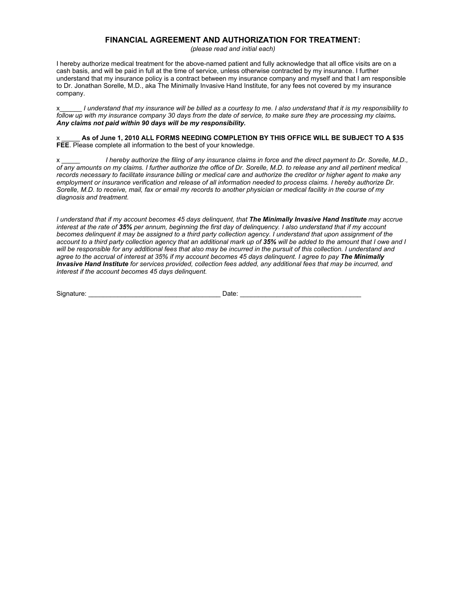## **FINANCIAL AGREEMENT AND AUTHORIZATION FOR TREATMENT:**

*(please read and initial each)*

I hereby authorize medical treatment for the above-named patient and fully acknowledge that all office visits are on a cash basis, and will be paid in full at the time of service, unless otherwise contracted by my insurance. I further understand that my insurance policy is a contract between my insurance company and myself and that I am responsible to Dr. Jonathan Sorelle, M.D., aka The Minimally Invasive Hand Institute, for any fees not covered by my insurance company.

x I understand that my insurance will be billed as a courtesy to me. I also understand that it is my responsibility to follow up with my insurance company 30 days from the date of service, to make sure they are processing my claims. *Any claims not paid within 90 days will be my responsibility.*

x \_\_\_\_\_ **As of June 1, 2010 ALL FORMS NEEDING COMPLETION BY THIS OFFICE WILL BE SUBJECT TO A \$35 FEE**. Please complete all information to the best of your knowledge.

I hereby authorize the filing of any insurance claims in force and the direct payment to Dr. Sorelle, M.D., of any amounts on my claims. I further authorize the office of Dr. Sorelle, M.D. to release any and all pertinent medical records necessary to facilitate insurance billing or medical care and authorize the creditor or higher agent to make any employment or insurance verification and release of all information needed to process claims. I hereby authorize Dr. Sorelle, M.D. to receive, mail, fax or email my records to another physician or medical facility in the course of my *diagnosis and treatment.*

I understand that if my account becomes 45 days delinguent, that The Minimally Invasive Hand Institute may accrue interest at the rate of 35% per annum, beginning the first day of delinguency. I also understand that if my account becomes delinquent it may be assigned to a third party collection agency. I understand that upon assignment of the account to a third party collection agency that an additional mark up of 35% will be added to the amount that I owe and I will be responsible for any additional fees that also may be incurred in the pursuit of this collection. I understand and agree to the accrual of interest at 35% if my account becomes 45 days delinguent. I agree to pay The Minimally Invasive Hand Institute for services provided, collection fees added, any additional fees that may be incurred, and *interest if the account becomes 45 days delinquent.*

Signature: \_\_\_\_\_\_\_\_\_\_\_\_\_\_\_\_\_\_\_\_\_\_\_\_\_\_\_\_\_\_\_\_\_\_\_\_ Date: \_\_\_\_\_\_\_\_\_\_\_\_\_\_\_\_\_\_\_\_\_\_\_\_\_\_\_\_\_\_\_\_\_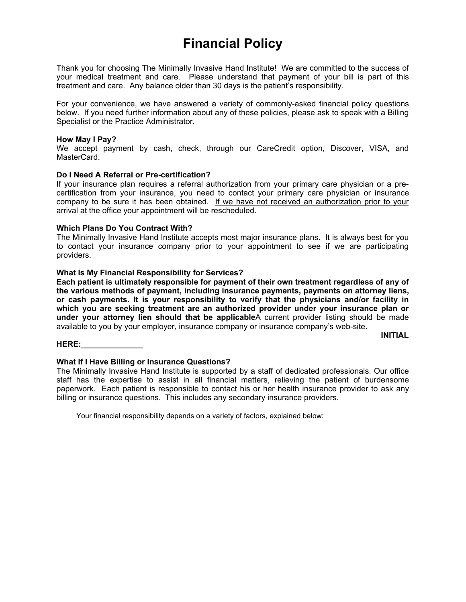# **Financial Policy**

Thank you for choosing The Minimally Invasive Hand Institute! We are committed to the success of your medical treatment and care. Please understand that payment of your bill is part of this treatment and care. Any balance older than 30 days is the patient's responsibility.

For your convenience, we have answered a variety of commonly-asked financial policy questions below. If you need further information about any of these policies, please ask to speak with a Billing Specialist or the Practice Administrator.

## **How May I Pay?**

We accept payment by cash, check, through our CareCredit option, Discover, VISA, and MasterCard.

## **Do I Need A Referral or Pre-certification?**

If your insurance plan requires a referral authorization from your primary care physician or a precertification from your insurance, you need to contact your primary care physician or insurance company to be sure it has been obtained. If we have not received an authorization prior to your arrival at the office your appointment will be rescheduled.

## **Which Plans Do You Contract With?**

The Minimally Invasive Hand Institute accepts most major insurance plans. It is always best for you to contact your insurance company prior to your appointment to see if we are participating providers.

## **What Is My Financial Responsibility for Services?**

**Each patient is ultimately responsible for payment of their own treatment regardless of any of the various methods of payment, including insurance payments, payments on attorney liens, or cash payments. It is your responsibility to verify that the physicians and/or facility in which you are seeking treatment are an authorized provider under your insurance plan or under your attorney lien should that be applicable**A current provider listing should be made available to you by your employer, insurance company or insurance company's web-site.

**INITIAL**

#### **HERE:\_\_\_\_\_\_\_\_\_\_\_\_\_\_**

## **What If I Have Billing or Insurance Questions?**

The Minimally Invasive Hand Institute is supported by a staff of dedicated professionals. Our office staff has the expertise to assist in all financial matters, relieving the patient of burdensome paperwork. Each patient is responsible to contact his or her health insurance provider to ask any billing or insurance questions. This includes any secondary insurance providers.

Your financial responsibility depends on a variety of factors, explained below: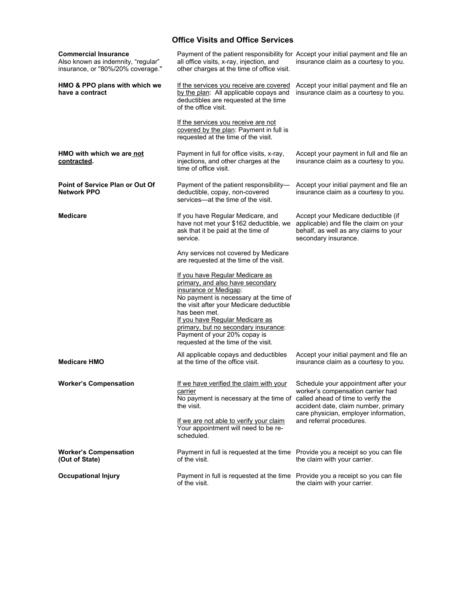## **Office Visits and Office Services**

| <b>Commercial Insurance</b><br>Also known as indemnity, "regular"<br>insurance, or "80%/20% coverage." | Payment of the patient responsibility for Accept your initial payment and file an<br>all office visits, x-ray, injection, and<br>other charges at the time of office visit.                                                                                                                                                                           | insurance claim as a courtesy to you.                                                                                                                      |
|--------------------------------------------------------------------------------------------------------|-------------------------------------------------------------------------------------------------------------------------------------------------------------------------------------------------------------------------------------------------------------------------------------------------------------------------------------------------------|------------------------------------------------------------------------------------------------------------------------------------------------------------|
| HMO & PPO plans with which we<br>have a contract                                                       | If the services you receive are covered<br>by the plan: All applicable copays and<br>deductibles are requested at the time<br>of the office visit.                                                                                                                                                                                                    | Accept your initial payment and file an<br>insurance claim as a courtesy to you.                                                                           |
|                                                                                                        | If the services you receive are not<br>covered by the plan: Payment in full is<br>requested at the time of the visit.                                                                                                                                                                                                                                 |                                                                                                                                                            |
| HMO with which we are not<br>contracted.                                                               | Payment in full for office visits, x-ray,<br>injections, and other charges at the<br>time of office visit.                                                                                                                                                                                                                                            | Accept your payment in full and file an<br>insurance claim as a courtesy to you.                                                                           |
| <b>Point of Service Plan or Out Of</b><br><b>Network PPO</b>                                           | Payment of the patient responsibility-<br>deductible, copay, non-covered<br>services-at the time of the visit.                                                                                                                                                                                                                                        | Accept your initial payment and file an<br>insurance claim as a courtesy to you.                                                                           |
| <b>Medicare</b>                                                                                        | If you have Regular Medicare, and<br>have not met your \$162 deductible, we<br>ask that it be paid at the time of<br>service.                                                                                                                                                                                                                         | Accept your Medicare deductible (if<br>applicable) and file the claim on your<br>behalf, as well as any claims to your<br>secondary insurance.             |
|                                                                                                        | Any services not covered by Medicare<br>are requested at the time of the visit.                                                                                                                                                                                                                                                                       |                                                                                                                                                            |
|                                                                                                        | If you have Regular Medicare as<br>primary, and also have secondary<br>insurance or Medigap:<br>No payment is necessary at the time of<br>the visit after your Medicare deductible<br>has been met.<br>If you have Regular Medicare as<br>primary, but no secondary insurance:<br>Payment of your 20% copay is<br>requested at the time of the visit. |                                                                                                                                                            |
| <b>Medicare HMO</b>                                                                                    | All applicable copays and deductibles<br>at the time of the office visit.                                                                                                                                                                                                                                                                             | Accept your initial payment and file an<br>insurance claim as a courtesy to you.                                                                           |
| <b>Worker's Compensation</b>                                                                           | If we have verified the claim with your<br>carrier<br>No payment is necessary at the time of called ahead of time to verify the<br>the visit.                                                                                                                                                                                                         | Schedule your appointment after your<br>worker's compensation carrier had<br>accident date, claim number, primary<br>care physician, employer information, |
|                                                                                                        | If we are not able to verify your claim<br>Your appointment will need to be re-<br>scheduled.                                                                                                                                                                                                                                                         | and referral procedures.                                                                                                                                   |
| <b>Worker's Compensation</b><br>(Out of State)                                                         | Payment in full is requested at the time Provide you a receipt so you can file<br>of the visit.                                                                                                                                                                                                                                                       | the claim with your carrier.                                                                                                                               |
| <b>Occupational Injury</b>                                                                             | Payment in full is requested at the time Provide you a receipt so you can file<br>of the visit.                                                                                                                                                                                                                                                       | the claim with your carrier.                                                                                                                               |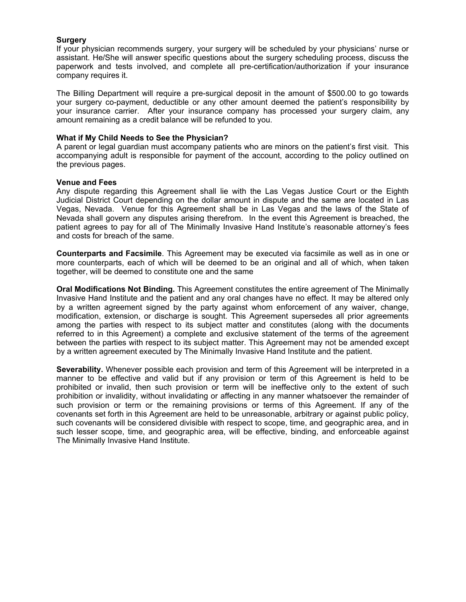## **Surgery**

If your physician recommends surgery, your surgery will be scheduled by your physicians' nurse or assistant. He/She will answer specific questions about the surgery scheduling process, discuss the paperwork and tests involved, and complete all pre-certification/authorization if your insurance company requires it.

The Billing Department will require a pre-surgical deposit in the amount of \$500.00 to go towards your surgery co-payment, deductible or any other amount deemed the patient's responsibility by your insurance carrier. After your insurance company has processed your surgery claim, any amount remaining as a credit balance will be refunded to you.

## **What if My Child Needs to See the Physician?**

A parent or legal guardian must accompany patients who are minors on the patient's first visit. This accompanying adult is responsible for payment of the account, according to the policy outlined on the previous pages.

## **Venue and Fees**

Any dispute regarding this Agreement shall lie with the Las Vegas Justice Court or the Eighth Judicial District Court depending on the dollar amount in dispute and the same are located in Las Vegas, Nevada. Venue for this Agreement shall be in Las Vegas and the laws of the State of Nevada shall govern any disputes arising therefrom. In the event this Agreement is breached, the patient agrees to pay for all of The Minimally Invasive Hand Institute's reasonable attorney's fees and costs for breach of the same.

**Counterparts and Facsimile**. This Agreement may be executed via facsimile as well as in one or more counterparts, each of which will be deemed to be an original and all of which, when taken together, will be deemed to constitute one and the same

**Oral Modifications Not Binding.** This Agreement constitutes the entire agreement of The Minimally Invasive Hand Institute and the patient and any oral changes have no effect. It may be altered only by a written agreement signed by the party against whom enforcement of any waiver, change, modification, extension, or discharge is sought. This Agreement supersedes all prior agreements among the parties with respect to its subject matter and constitutes (along with the documents referred to in this Agreement) a complete and exclusive statement of the terms of the agreement between the parties with respect to its subject matter. This Agreement may not be amended except by a written agreement executed by The Minimally Invasive Hand Institute and the patient.

**Severability.** Whenever possible each provision and term of this Agreement will be interpreted in a manner to be effective and valid but if any provision or term of this Agreement is held to be prohibited or invalid, then such provision or term will be ineffective only to the extent of such prohibition or invalidity, without invalidating or affecting in any manner whatsoever the remainder of such provision or term or the remaining provisions or terms of this Agreement. If any of the covenants set forth in this Agreement are held to be unreasonable, arbitrary or against public policy, such covenants will be considered divisible with respect to scope, time, and geographic area, and in such lesser scope, time, and geographic area, will be effective, binding, and enforceable against The Minimally Invasive Hand Institute.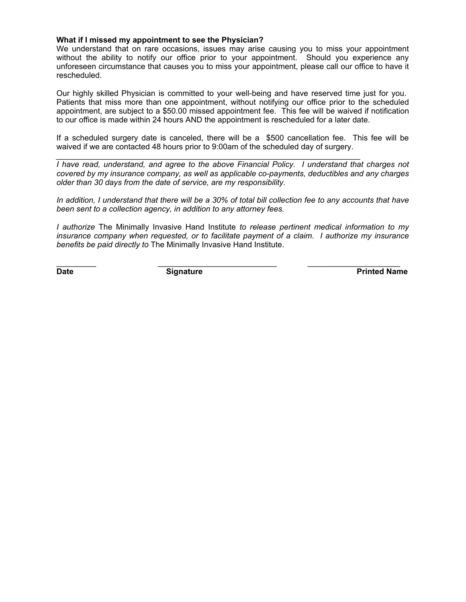## **What if I missed my appointment to see the Physician?**

We understand that on rare occasions, issues may arise causing you to miss your appointment without the ability to notify our office prior to your appointment. Should you experience any unforeseen circumstance that causes you to miss your appointment, please call our office to have it rescheduled.

Our highly skilled Physician is committed to your well-being and have reserved time just for you. Patients that miss more than one appointment, without notifying our office prior to the scheduled appointment, are subject to a \$50.00 missed appointment fee. This fee will be waived if notification to our office is made within 24 hours AND the appointment is rescheduled for a later date.

If a scheduled surgery date is canceled, there will be a \$500 cancellation fee. This fee will be waived if we are contacted 48 hours prior to 9:00am of the scheduled day of surgery.

*\_\_\_\_\_\_\_\_\_\_\_\_\_\_\_\_\_\_\_\_\_\_\_\_\_\_\_\_\_\_\_\_\_\_\_\_\_\_\_\_\_\_\_\_\_\_\_\_\_\_\_\_\_\_\_\_\_\_\_\_\_\_\_\_\_\_\_\_\_*

*I have read, understand, and agree to the above Financial Policy. I understand that charges not covered by my insurance company, as well as applicable co-payments, deductibles and any charges older than 30 days from the date of service, are my responsibility.*

*In addition, I understand that there will be a 30% of total bill collection fee to any accounts that have been sent to a collection agency, in addition to any attorney fees.*

*I authorize* The Minimally Invasive Hand Institute *to release pertinent medical information to my insurance company when requested, or to facilitate payment of a claim. I authorize my insurance benefits be paid directly to* The Minimally Invasive Hand Institute.

 $\Box$  . The contribution of  $\Box$  . The contribution of  $\Box$  . The contribution of  $\Box$  . The contribution of  $\Box$ 

**Date Signature Signature Printed Name**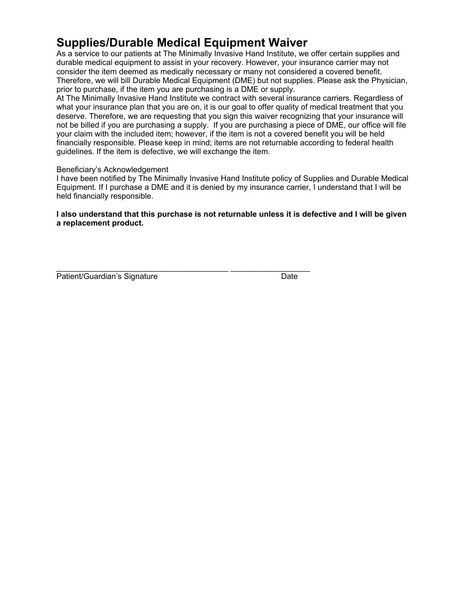# **Supplies/Durable Medical Equipment Waiver**

As a service to our patients at The Minimally Invasive Hand Institute, we offer certain supplies and durable medical equipment to assist in your recovery. However, your insurance carrier may not consider the item deemed as medically necessary or many not considered a covered benefit. Therefore, we will bill Durable Medical Equipment (DME) but not supplies. Please ask the Physician, prior to purchase, if the item you are purchasing is a DME or supply.

At The Minimally Invasive Hand Institute we contract with several insurance carriers. Regardless of what your insurance plan that you are on, it is our goal to offer quality of medical treatment that you deserve. Therefore, we are requesting that you sign this waiver recognizing that your insurance will not be billed if you are purchasing a supply. If you are purchasing a piece of DME, our office will file your claim with the included item; however, if the item is not a covered benefit you will be held financially responsible. Please keep in mind; items are not returnable according to federal health guidelines. If the item is defective, we will exchange the item.

## Beneficiary's Acknowledgement

I have been notified by The Minimally Invasive Hand Institute policy of Supplies and Durable Medical Equipment. If I purchase a DME and it is denied by my insurance carrier, I understand that I will be held financially responsible.

## **I also understand that this purchase is not returnable unless it is defective and I will be given a replacement product.**

| Patient/Guardian's Signature | Date |
|------------------------------|------|